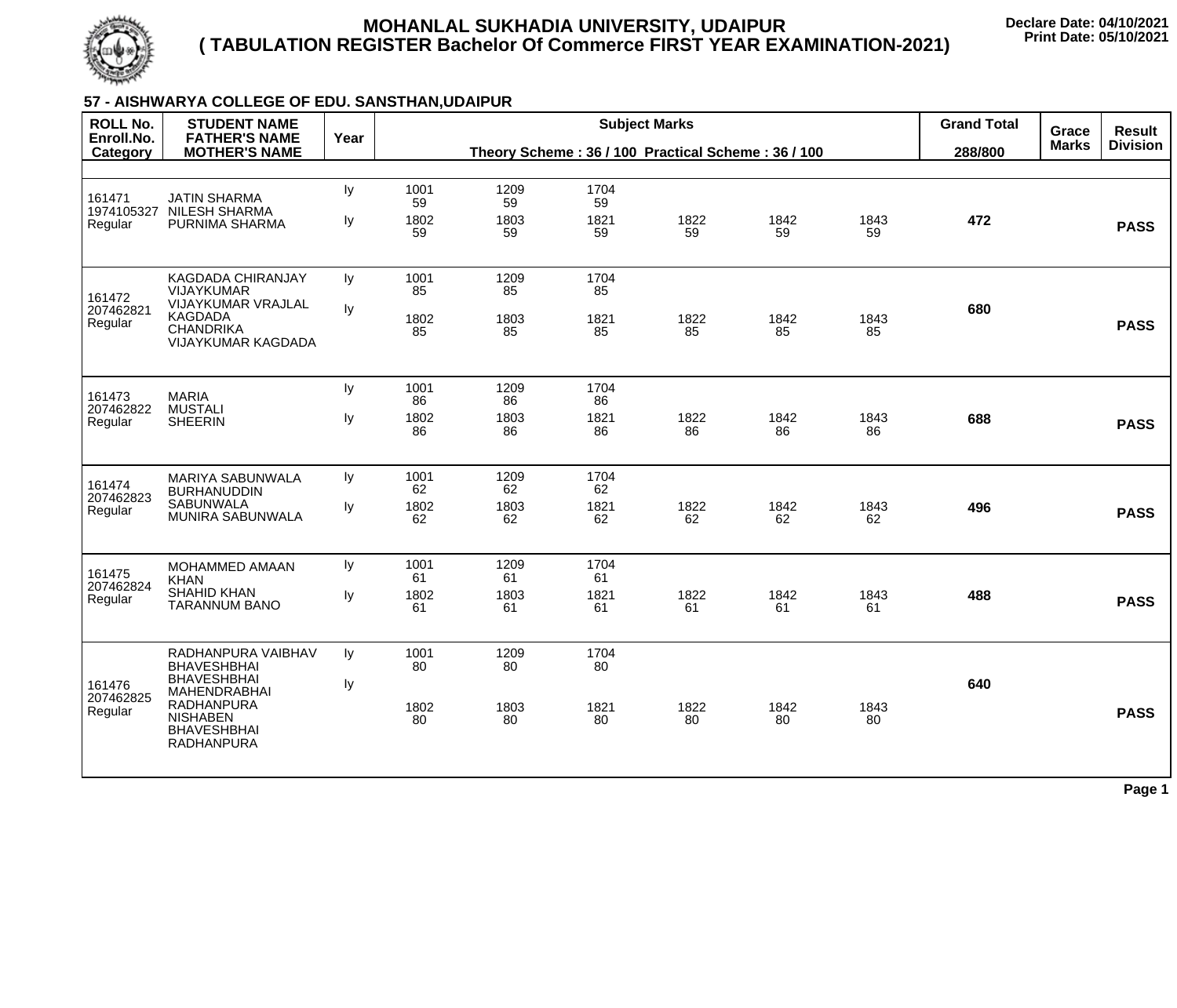

# **57 - AISHWARYA COLLEGE OF EDU. SANSTHAN,UDAIPUR**

| <b>ROLL No.</b><br>Enroll.No.   | <b>STUDENT NAME</b><br><b>FATHER'S NAME</b>                                                                                                                              | Year     |                          |                                                    |                          | <b>Grand Total</b> | Grace      | <b>Result</b> |         |              |                 |
|---------------------------------|--------------------------------------------------------------------------------------------------------------------------------------------------------------------------|----------|--------------------------|----------------------------------------------------|--------------------------|--------------------|------------|---------------|---------|--------------|-----------------|
| Category                        | <b>MOTHER'S NAME</b>                                                                                                                                                     |          |                          | Theory Scheme: 36 / 100 Practical Scheme: 36 / 100 |                          |                    |            |               | 288/800 | <b>Marks</b> | <b>Division</b> |
| 161471<br>1974105327<br>Regular | <b>JATIN SHARMA</b><br><b>NILESH SHARMA</b><br>PURNIMA SHARMA                                                                                                            | ly<br>Iу | 1001<br>59<br>1802<br>59 | 1209<br>59<br>1803<br>59                           | 1704<br>59<br>1821<br>59 | 1822<br>59         | 1842<br>59 | 1843<br>59    | 472     |              | <b>PASS</b>     |
| 161472<br>207462821<br>Regular  | KAGDADA CHIRANJAY<br><b>VIJAYKUMAR</b><br><b>VIJAYKUMAR VRAJLAL</b><br><b>KAGDADA</b><br><b>CHANDRIKA</b><br>VIJAYKUMAR KAGDADA                                          | ly<br>ly | 1001<br>85<br>1802<br>85 | 1209<br>85<br>1803<br>85                           | 1704<br>85<br>1821<br>85 | 1822<br>85         | 1842<br>85 | 1843<br>85    | 680     |              | <b>PASS</b>     |
| 161473<br>207462822<br>Regular  | <b>MARIA</b><br><b>MUSTALI</b><br><b>SHEERIN</b>                                                                                                                         | ly<br>ly | 1001<br>86<br>1802<br>86 | 1209<br>86<br>1803<br>86                           | 1704<br>86<br>1821<br>86 | 1822<br>86         | 1842<br>86 | 1843<br>86    | 688     |              | <b>PASS</b>     |
| 161474<br>207462823<br>Regular  | <b>MARIYA SABUNWALA</b><br><b>BURHANUDDIN</b><br><b>SABUNWALA</b><br><b>MUNIRA SABUNWALA</b>                                                                             | Iy<br>ly | 1001<br>62<br>1802<br>62 | 1209<br>62<br>1803<br>62                           | 1704<br>62<br>1821<br>62 | 1822<br>62         | 1842<br>62 | 1843<br>62    | 496     |              | <b>PASS</b>     |
| 161475<br>207462824<br>Regular  | <b>MOHAMMED AMAAN</b><br><b>KHAN</b><br><b>SHAHID KHAN</b><br><b>TARANNUM BANO</b>                                                                                       | ly<br>ly | 1001<br>61<br>1802<br>61 | 1209<br>61<br>1803<br>61                           | 1704<br>61<br>1821<br>61 | 1822<br>61         | 1842<br>61 | 1843<br>61    | 488     |              | <b>PASS</b>     |
| 161476<br>207462825<br>Regular  | RADHANPURA VAIBHAV<br><b>BHAVESHBHAI</b><br><b>BHAVESHBHAI</b><br><b>MAHENDRABHAI</b><br><b>RADHANPURA</b><br><b>NISHABEN</b><br><b>BHAVESHBHAI</b><br><b>RADHANPURA</b> | Iy<br>ly | 1001<br>80<br>1802<br>80 | 1209<br>80<br>1803<br>80                           | 1704<br>80<br>1821<br>80 | 1822<br>80         | 1842<br>80 | 1843<br>80    | 640     |              | <b>PASS</b>     |
|                                 |                                                                                                                                                                          |          |                          |                                                    |                          |                    |            |               |         |              | Page 1          |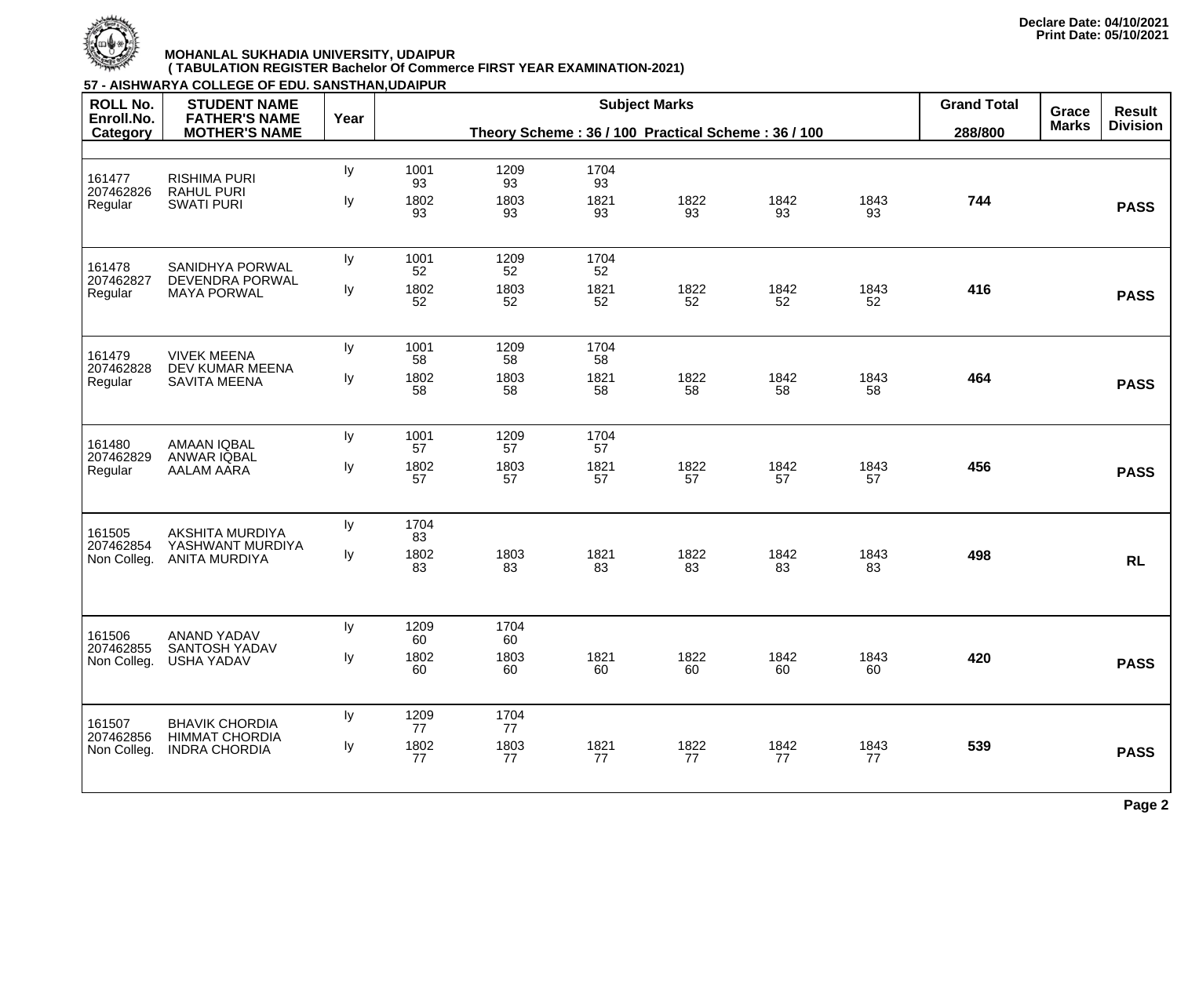

| <b>ROLL No.</b>          | 57 - AISHWARYA COLLEGE OF EDU. SANSTHAN, UDAIPUR<br><b>STUDENT NAME</b> |      |            | <b>Subject Marks</b><br>Theory Scheme: 36 / 100 Practical Scheme: 36 / 100 |            |      |      |      |         | Grace        | <b>Result</b>   |
|--------------------------|-------------------------------------------------------------------------|------|------------|----------------------------------------------------------------------------|------------|------|------|------|---------|--------------|-----------------|
| Enroll.No.<br>Category   | <b>FATHER'S NAME</b><br><b>MOTHER'S NAME</b>                            | Year |            |                                                                            |            |      |      |      |         | <b>Marks</b> | <b>Division</b> |
|                          |                                                                         |      |            |                                                                            |            |      |      |      | 288/800 |              |                 |
| 161477                   | <b>RISHIMA PURI</b><br><b>RAHUL PURI</b><br><b>SWATI PURI</b>           | ly   | 1001<br>93 | 1209<br>93                                                                 | 1704<br>93 |      |      |      |         |              |                 |
| 207462826<br>Regular     |                                                                         | ly   | 1802       | 1803                                                                       | 1821       | 1822 | 1842 | 1843 | 744     |              | <b>PASS</b>     |
|                          |                                                                         |      | 93         | 93                                                                         | 93         | 93   | 93   | 93   |         |              |                 |
| 161478                   | <b>SANIDHYA PORWAL</b>                                                  | Iy   | 1001<br>52 | 1209<br>52                                                                 | 1704<br>52 |      |      |      |         |              |                 |
| 207462827<br>Regular     | DEVENDRA PORWAL<br><b>MAYA PORWAL</b>                                   | Iy   | 1802       | 1803                                                                       | 1821       | 1822 | 1842 | 1843 | 416     |              | <b>PASS</b>     |
|                          |                                                                         |      | 52         | 52                                                                         | 52         | 52   | 52   | 52   |         |              |                 |
| 161479                   | <b>VIVEK MEENA</b>                                                      | ly   | 1001<br>58 | 1209<br>58                                                                 | 1704<br>58 |      |      |      |         |              |                 |
| 207462828<br>Regular     | DEV KUMAR MEENA<br><b>SAVITA MEENA</b>                                  | ly   | 1802       | 1803                                                                       | 1821       | 1822 | 1842 | 1843 | 464     |              | <b>PASS</b>     |
|                          |                                                                         |      | 58         | 58                                                                         | 58         | 58   | 58   | 58   |         |              |                 |
| 161480                   | <b>AMAAN IQBAL</b><br><b>ANWAR IQBAL</b><br>AALAM AARA                  | ly   | 1001<br>57 | 1209<br>57                                                                 | 1704<br>57 |      |      |      |         |              |                 |
| 207462829<br>Regular     |                                                                         | ly   | 1802       | 1803                                                                       | 1821       | 1822 | 1842 | 1843 | 456     |              | <b>PASS</b>     |
|                          |                                                                         |      | 57         | 57                                                                         | 57         | 57   | 57   | 57   |         |              |                 |
| 161505                   | <b>AKSHITA MURDIYA</b>                                                  | ly   | 1704<br>83 |                                                                            |            |      |      |      |         |              |                 |
| 207462854<br>Non Colleg. | YASHWANT MURDIYA<br><b>ANITA MURDIYA</b>                                | Iy   | 1802       | 1803                                                                       | 1821       | 1822 | 1842 | 1843 | 498     |              | <b>RL</b>       |
|                          |                                                                         |      | 83         | 83                                                                         | 83         | 83   | 83   | 83   |         |              |                 |
|                          |                                                                         | ly   | 1209       | 1704                                                                       |            |      |      |      |         |              |                 |
| 161506<br>207462855      | <b>ANAND YADAV</b><br><b>SANTOSH YADAV</b>                              |      | 60<br>1802 | 60<br>1803                                                                 | 1821       | 1822 | 1842 | 1843 | 420     |              |                 |
| Non Colleg.              | <b>USHA YADAV</b>                                                       | ly   | 60         | 60                                                                         | 60         | 60   | 60   | 60   |         |              | <b>PASS</b>     |
| 161507                   | <b>BHAVIK CHORDIA</b>                                                   | Iу   | 1209       | 1704                                                                       |            |      |      |      |         |              |                 |
| 207462856                | <b>HIMMAT CHORDIA</b>                                                   | ly   | 77<br>1802 | 77<br>1803                                                                 | 1821       | 1822 | 1842 | 1843 | 539     |              |                 |
| Non Colleg.              | <b>INDRA CHORDIA</b>                                                    |      | 77         | 77                                                                         | 77         | 77   | 77   | 77   |         |              | <b>PASS</b>     |
|                          |                                                                         |      |            |                                                                            |            |      |      |      |         |              | Page 2          |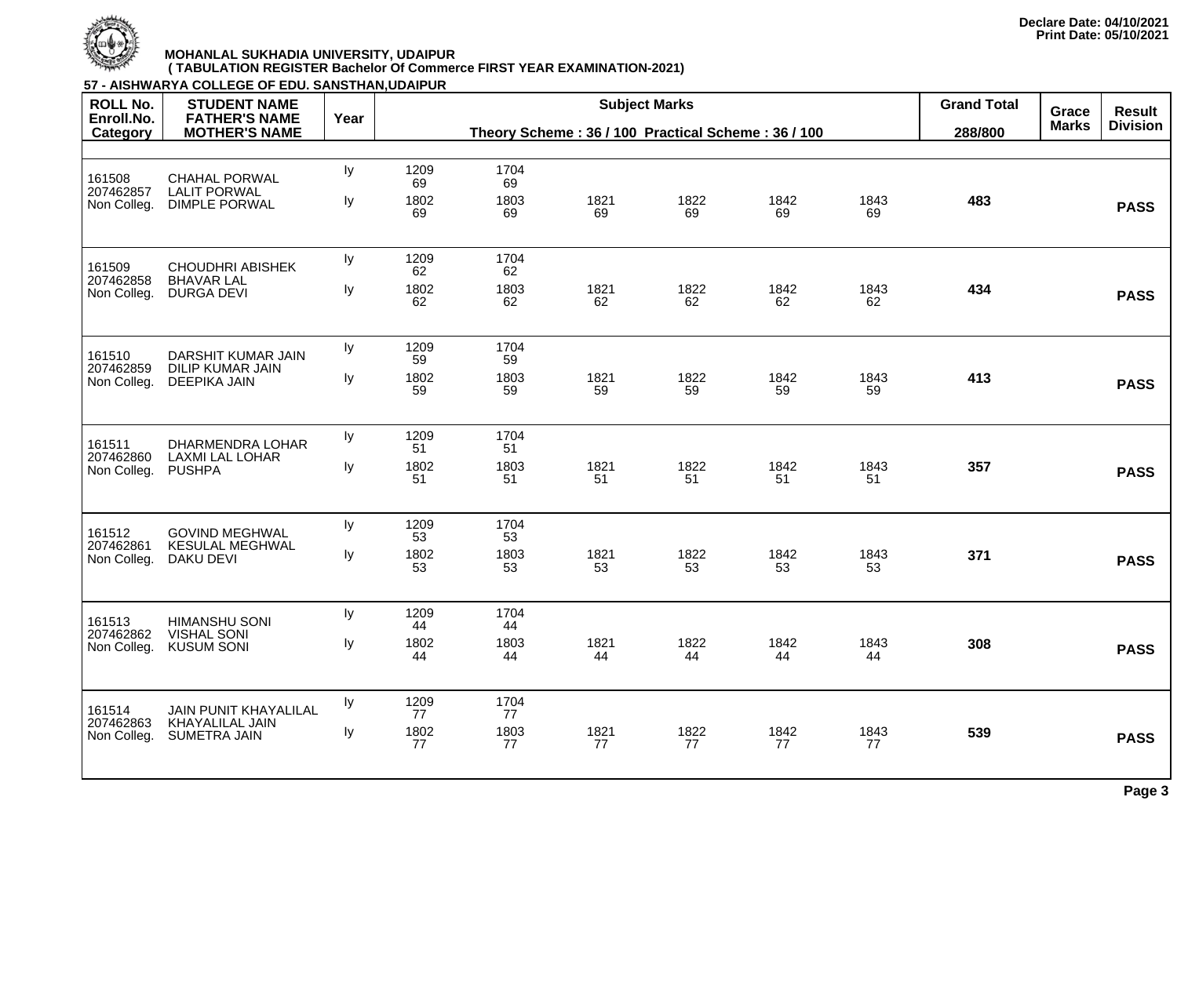

| <b>ROLL No.</b>                    | <b>STUDENT NAME</b>                                                |      |            |                                                    |            | <b>Grand Total</b> | Grace      | <b>Result</b> |         |              |                 |
|------------------------------------|--------------------------------------------------------------------|------|------------|----------------------------------------------------|------------|--------------------|------------|---------------|---------|--------------|-----------------|
| Enroll.No.<br>Category             | <b>FATHER'S NAME</b><br><b>MOTHER'S NAME</b>                       | Year |            | Theory Scheme: 36 / 100 Practical Scheme: 36 / 100 |            |                    |            |               | 288/800 | <b>Marks</b> | <b>Division</b> |
|                                    |                                                                    |      |            |                                                    |            |                    |            |               |         |              |                 |
| 161508<br>207462857                | <b>CHAHAL PORWAL</b><br><b>LALIT PORWAL</b>                        | ly   | 1209<br>69 | 1704<br>69                                         |            |                    |            |               |         |              |                 |
| Non Colleg.                        | <b>DIMPLE PORWAL</b>                                               | Iу   | 1802<br>69 | 1803<br>69                                         | 1821<br>69 | 1822<br>69         | 1842<br>69 | 1843<br>69    | 483     |              | <b>PASS</b>     |
| 161509                             | <b>CHOUDHRI ABISHEK</b>                                            | ly   | 1209<br>62 | 1704<br>62                                         |            |                    |            |               |         |              |                 |
| 207462858<br>Non Colleg.           | <b>BHAVAR LAL</b><br><b>DURGA DEVI</b>                             | ly   | 1802<br>62 | 1803<br>62                                         | 1821<br>62 | 1822<br>62         | 1842<br>62 | 1843<br>62    | 434     |              | <b>PASS</b>     |
| 161510<br>207462859<br>Non Colleg. | DARSHIT KUMAR JAIN                                                 | ly   | 1209<br>59 | 1704<br>59                                         |            |                    |            |               |         |              |                 |
|                                    | <b>DILIP KUMAR JAIN</b><br><b>DEEPIKA JAIN</b>                     | ly   | 1802<br>59 | 1803<br>59                                         | 1821<br>59 | 1822<br>59         | 1842<br>59 | 1843<br>59    | 413     |              | <b>PASS</b>     |
| 161511                             | <b>DHARMENDRA LOHAR</b><br><b>LAXMI LAL LOHAR</b><br><b>PUSHPA</b> | ly   | 1209<br>51 | 1704<br>51                                         |            |                    |            |               |         |              |                 |
| 207462860<br>Non Colleg.           |                                                                    | ly   | 1802<br>51 | 1803<br>51                                         | 1821<br>51 | 1822<br>51         | 1842<br>51 | 1843<br>51    | 357     |              | <b>PASS</b>     |
| 161512                             | <b>GOVIND MEGHWAL</b>                                              | ly   | 1209<br>53 | 1704<br>53                                         |            |                    |            |               |         |              |                 |
| 207462861<br>Non Colleg.           | <b>KESULAL MEGHWAL</b><br>DAKU DEVI                                | ly   | 1802<br>53 | 1803<br>53                                         | 1821<br>53 | 1822<br>53         | 1842<br>53 | 1843<br>53    | 371     |              | <b>PASS</b>     |
| 161513                             | <b>HIMANSHU SONI</b>                                               | Iу   | 1209<br>44 | 1704<br>44                                         |            |                    |            |               |         |              |                 |
| 207462862<br>Non Colleg.           | <b>VISHAL SONI</b><br><b>KUSUM SONI</b>                            | Iу   | 1802<br>44 | 1803<br>44                                         | 1821<br>44 | 1822<br>44         | 1842<br>44 | 1843<br>44    | 308     |              | <b>PASS</b>     |
| 161514                             | <b>JAIN PUNIT KHAYALILAL</b>                                       | ly   | 1209<br>77 | 1704<br>77                                         |            |                    |            |               |         |              |                 |
| 207462863<br>Non Colleg.           | <b>KHAYALILAL JAIN</b><br><b>SUMETRA JAIN</b>                      | ly   | 1802<br>77 | 1803<br>77                                         | 1821<br>77 | 1822<br>77         | 1842<br>77 | 1843<br>77    | 539     |              | <b>PASS</b>     |
|                                    |                                                                    |      |            |                                                    |            |                    |            |               |         |              |                 |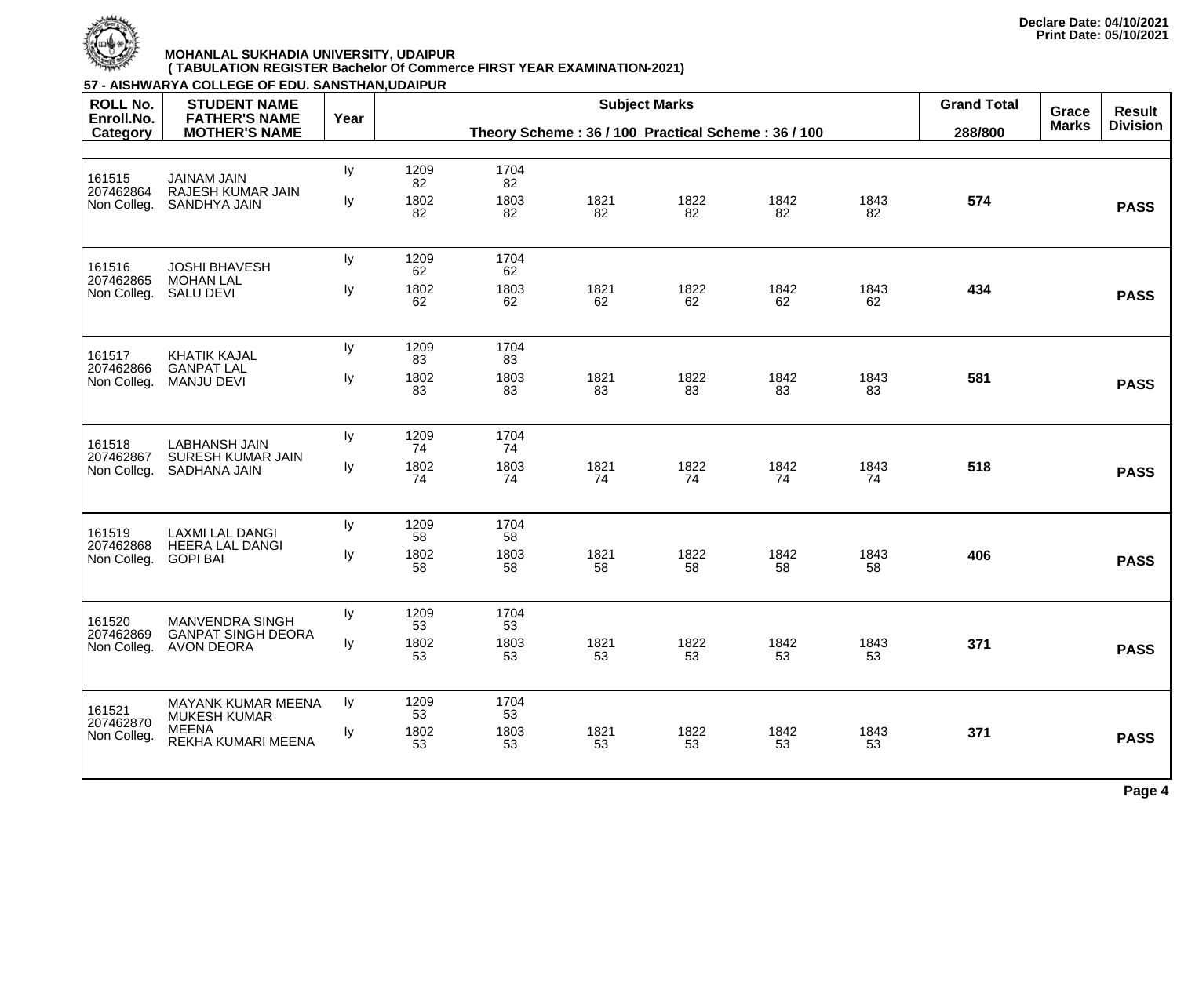

| <b>ROLL No.</b>                    | 57 - AISHWARYA COLLEGE OF EDU. SANSTHAN,UDAIPUR<br><b>STUDENT NAME</b> |      |            |                                                    |            | <b>Subject Marks</b>  |                                  |            | <b>Grand Total</b> |  |             |
|------------------------------------|------------------------------------------------------------------------|------|------------|----------------------------------------------------|------------|-----------------------|----------------------------------|------------|--------------------|--|-------------|
| Enroll.No.<br>Category             | <b>FATHER'S NAME</b><br><b>MOTHER'S NAME</b>                           | Year |            | Theory Scheme: 36 / 100 Practical Scheme: 36 / 100 | 288/800    | Grace<br><b>Marks</b> | <b>Result</b><br><b>Division</b> |            |                    |  |             |
|                                    |                                                                        |      |            |                                                    |            |                       |                                  |            |                    |  |             |
| 161515                             | <b>JAINAM JAIN</b>                                                     | ly   | 1209<br>82 | 1704<br>82                                         |            |                       |                                  |            |                    |  |             |
| 207462864<br>Non Colleg.           | <b>RAJESH KUMAR JAIN</b><br><b>SANDHYA JAIN</b>                        | ly   | 1802<br>82 | 1803<br>82                                         | 1821<br>82 | 1822<br>82            | 1842<br>82                       | 1843<br>82 | 574                |  | <b>PASS</b> |
| 161516                             | <b>JOSHI BHAVESH</b>                                                   | Iy   | 1209<br>62 | 1704<br>62                                         |            |                       |                                  |            |                    |  |             |
| 207462865<br>Non Colleg.           | <b>MOHAN LAL</b><br><b>SALU DEVI</b>                                   | Iy   | 1802<br>62 | 1803<br>62                                         | 1821<br>62 | 1822<br>62            | 1842<br>62                       | 1843<br>62 | 434                |  | <b>PASS</b> |
| 161517<br>207462866<br>Non Colleg  | <b>KHATIK KAJAL</b>                                                    | ly   | 1209<br>83 | 1704<br>83                                         |            |                       |                                  |            |                    |  |             |
|                                    | <b>GANPAT LAL</b><br><b>MANJU DEVI</b>                                 | Iy   | 1802<br>83 | 1803<br>83                                         | 1821<br>83 | 1822<br>83            | 1842<br>83                       | 1843<br>83 | 581                |  | <b>PASS</b> |
| 161518                             | <b>LABHANSH JAIN</b><br><b>SURESH KUMAR JAIN</b><br>SADHANA JAIN       | ly   | 1209<br>74 | 1704<br>74                                         |            |                       |                                  |            |                    |  |             |
| 207462867<br>Non Colleg.           |                                                                        | ly   | 1802<br>74 | 1803<br>74                                         | 1821<br>74 | 1822<br>74            | 1842<br>74                       | 1843<br>74 | 518                |  | <b>PASS</b> |
| 161519                             | <b>LAXMI LAL DANGI</b>                                                 | Iy   | 1209<br>58 | 1704<br>58                                         |            |                       |                                  |            |                    |  |             |
| 207462868<br>Non Colleg.           | <b>HEERA LAL DANGI</b><br><b>GOPI BAI</b>                              | ly   | 1802<br>58 | 1803<br>58                                         | 1821<br>58 | 1822<br>58            | 1842<br>58                       | 1843<br>58 | 406                |  | <b>PASS</b> |
| 161520                             | <b>MANVENDRA SINGH</b>                                                 | Iy   | 1209<br>53 | 1704<br>53                                         |            |                       |                                  |            |                    |  |             |
| 207462869<br>Non Colleg.           | <b>GANPAT SINGH DEORA</b><br><b>AVON DEORA</b>                         | Iy   | 1802<br>53 | 1803<br>53                                         | 1821<br>53 | 1822<br>53            | 1842<br>53                       | 1843<br>53 | 371                |  | <b>PASS</b> |
| 161521<br>207462870<br>Non Colleg. | <b>MAYANK KUMAR MEENA</b><br><b>MUKESH KUMAR</b>                       | Iy   | 1209<br>53 | 1704<br>53                                         |            |                       |                                  |            |                    |  |             |
|                                    | <b>MEENA</b><br>REKHA KUMARI MEENA                                     | Iy   | 1802<br>53 | 1803<br>53                                         | 1821<br>53 | 1822<br>53            | 1842<br>53                       | 1843<br>53 | 371                |  | <b>PASS</b> |
|                                    |                                                                        |      |            |                                                    |            |                       |                                  |            |                    |  |             |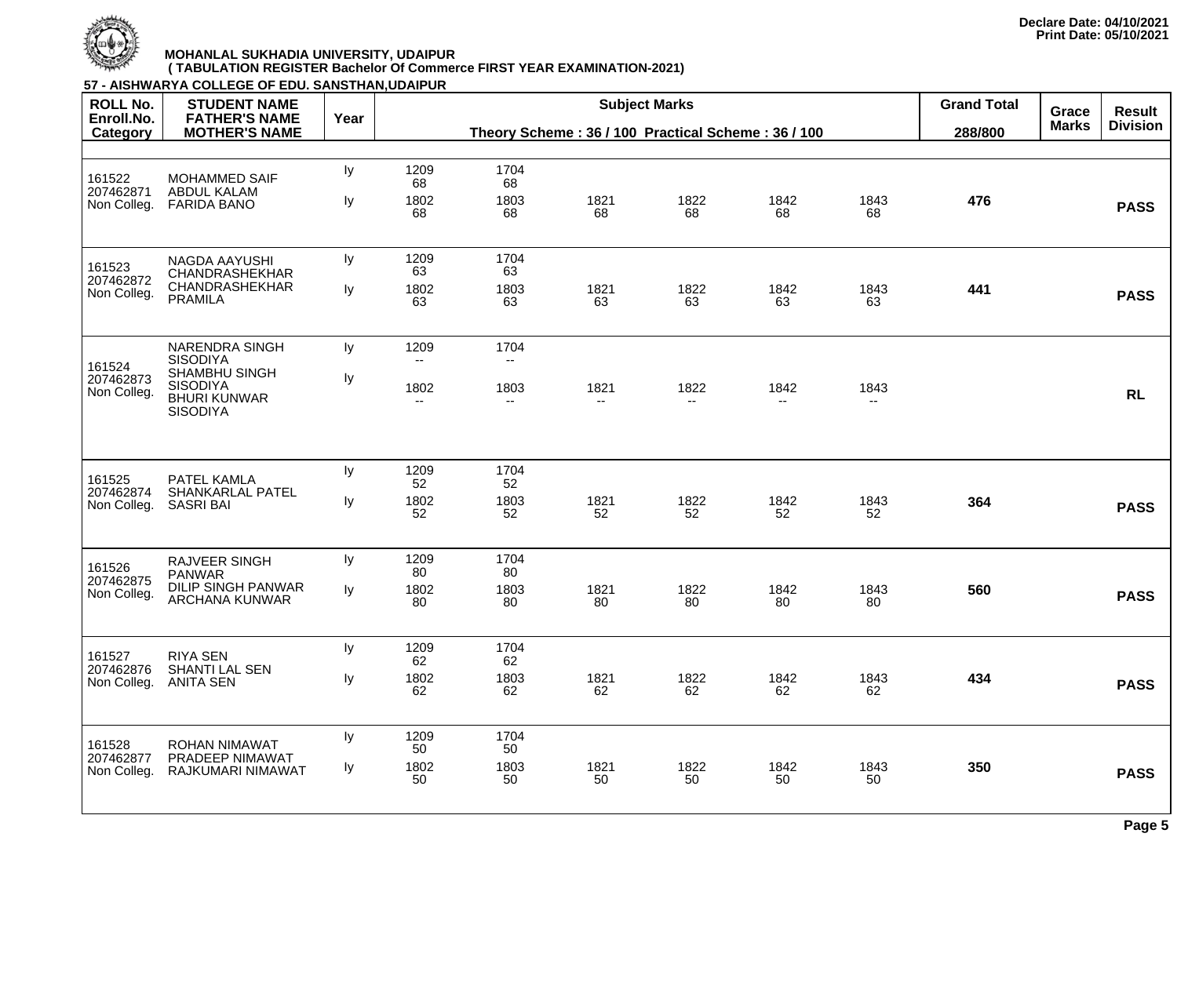

| <b>ROLL No.</b>                    | <b>STUDENT NAME</b>                                                               |      |                                  |                                  |                                                | <b>Subject Marks</b>             |              | <b>Grand Total</b>               | Grace | <b>Result</b> |             |
|------------------------------------|-----------------------------------------------------------------------------------|------|----------------------------------|----------------------------------|------------------------------------------------|----------------------------------|--------------|----------------------------------|-------|---------------|-------------|
| Enroll.No.<br>Category             | <b>FATHER'S NAME</b><br><b>MOTHER'S NAME</b>                                      | Year |                                  |                                  | Theory Scheme: 36/100 Practical Scheme: 36/100 | 288/800                          | <b>Marks</b> | <b>Division</b>                  |       |               |             |
|                                    |                                                                                   |      |                                  |                                  |                                                |                                  |              |                                  |       |               |             |
| 161522<br>207462871                | <b>MOHAMMED SAIF</b><br><b>ABDUL KALAM</b>                                        | ly   | 1209<br>68                       | 1704<br>68                       |                                                |                                  |              |                                  |       |               |             |
| Non Colleg.                        | <b>FARIDA BANO</b>                                                                | Iу   | 1802<br>68                       | 1803<br>68                       | 1821<br>68                                     | 1822<br>68                       | 1842<br>68   | 1843<br>68                       | 476   |               | <b>PASS</b> |
| 161523<br>207462872                | NAGDA AAYUSHI<br><b>CHANDRASHEKHAR</b>                                            | ly   | 1209<br>63                       | 1704<br>63                       |                                                |                                  |              |                                  |       |               |             |
| Non Colleg.                        | <b>CHANDRASHEKHAR</b><br><b>PRAMILA</b>                                           | ly   | 1802<br>63                       | 1803<br>63                       | 1821<br>63                                     | 1822<br>63                       | 1842<br>63   | 1843<br>63                       | 441   |               | <b>PASS</b> |
| 161524                             | <b>NARENDRA SINGH</b><br><b>SISODIYA</b>                                          | Iy   | 1209                             | 1704<br>$\overline{\phantom{a}}$ |                                                |                                  |              |                                  |       |               |             |
| 207462873<br>Non Colleg.           | <b>SHAMBHU SINGH</b><br><b>SISODIYA</b><br><b>BHURI KUNWAR</b><br><b>SISODIYA</b> | ly   | 1802<br>$\overline{\phantom{a}}$ | 1803<br>$\overline{\phantom{a}}$ | 1821<br>$\overline{\phantom{a}}$               | 1822<br>$\overline{\phantom{a}}$ | 1842<br>--   | 1843<br>$\overline{\phantom{m}}$ |       |               | <b>RL</b>   |
|                                    |                                                                                   | ly   | 1209                             | 1704                             |                                                |                                  |              |                                  |       |               |             |
| 161525<br>207462874<br>Non Colleg. | PATEL KAMLA<br><b>SHANKARLAL PATEL</b><br><b>SASRI BAI</b>                        | ly   | 52<br>1802                       | 52<br>1803                       | 1821                                           | 1822                             | 1842         | 1843                             | 364   |               | <b>PASS</b> |
|                                    |                                                                                   |      | 52                               | 52                               | 52                                             | 52                               | 52           | 52                               |       |               |             |
| 161526<br>207462875                | <b>RAJVEER SINGH</b><br><b>PANWAR</b>                                             | ly   | 1209<br>80                       | 1704<br>80                       |                                                |                                  |              |                                  |       |               |             |
| Non Colleg.                        | <b>DILIP SINGH PANWAR</b><br>ARCHANA KUNWAR                                       | ly   | 1802<br>80                       | 1803<br>80                       | 1821<br>80                                     | 1822<br>80                       | 1842<br>80   | 1843<br>80                       | 560   |               | <b>PASS</b> |
| 161527                             | <b>RIYA SEN</b>                                                                   | ly   | 1209<br>62                       | 1704<br>62                       |                                                |                                  |              |                                  |       |               |             |
| 207462876<br>Non Colleg.           | SHANTI LAL SEN<br><b>ANITA SEN</b>                                                | ly   | 1802<br>62                       | 1803<br>62                       | 1821<br>62                                     | 1822<br>62                       | 1842<br>62   | 1843<br>62                       | 434   |               | <b>PASS</b> |
| 161528                             | <b>ROHAN NIMAWAT</b>                                                              | ly   | 1209<br>50                       | 1704<br>50                       |                                                |                                  |              |                                  |       |               |             |
| 207462877<br>Non Colleg.           | PRADEEP NIMAWAT<br>RAJKUMARI NIMAWAT                                              | Iy   | 1802<br>50                       | 1803<br>50                       | 1821<br>50                                     | 1822<br>50                       | 1842<br>50   | 1843<br>50                       | 350   |               | <b>PASS</b> |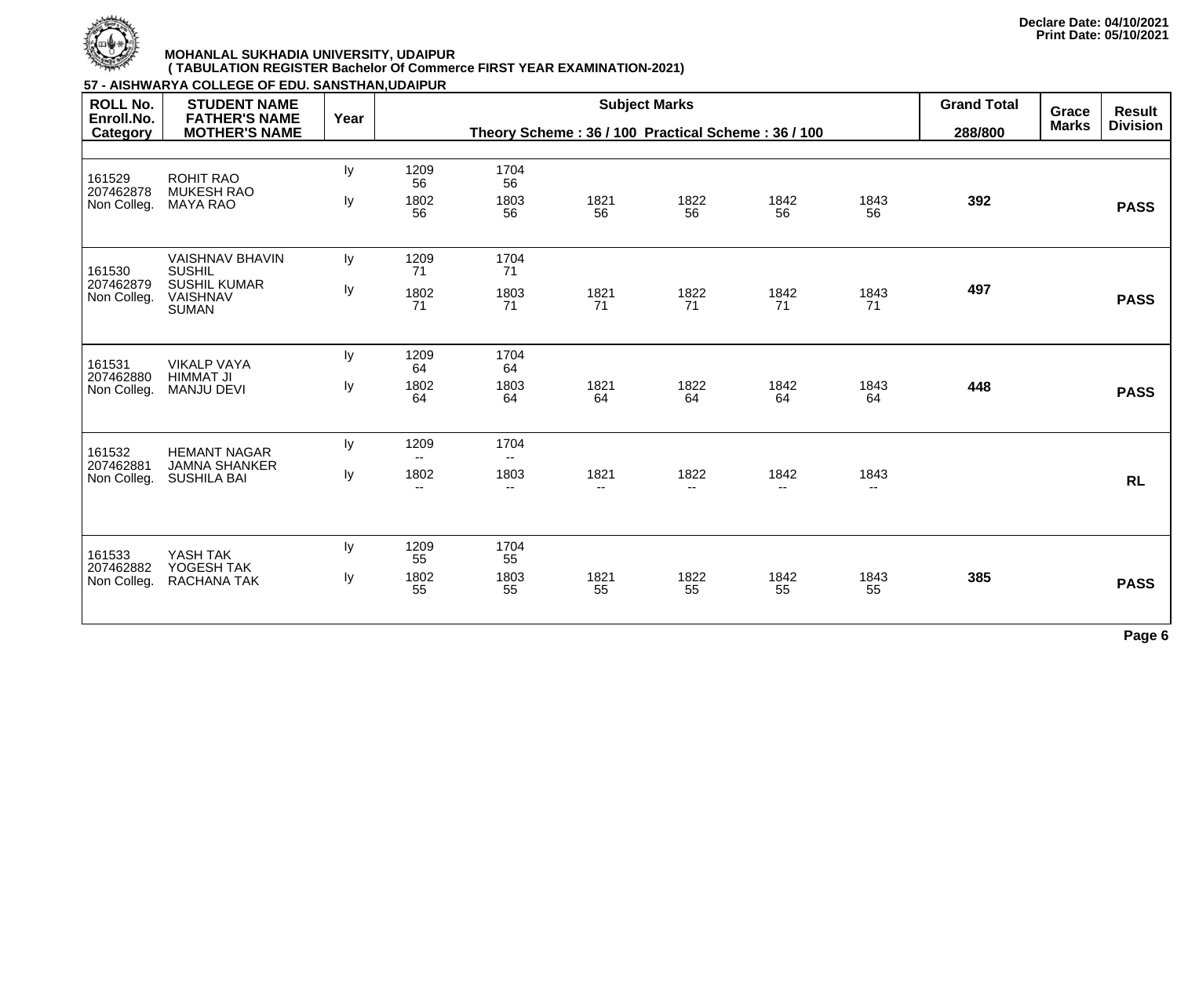

|                                           | 57 - AISHWARYA COLLEGE OF EDU. SANSTHAN, UDAIPUR                    |      |                                                                            |                                  |                                  |                                  |               |                                  |                               |                              |                                  |
|-------------------------------------------|---------------------------------------------------------------------|------|----------------------------------------------------------------------------|----------------------------------|----------------------------------|----------------------------------|---------------|----------------------------------|-------------------------------|------------------------------|----------------------------------|
| <b>ROLL No.</b><br>Enroll.No.<br>Category | <b>STUDENT NAME</b><br><b>FATHER'S NAME</b><br><b>MOTHER'S NAME</b> | Year | <b>Subject Marks</b><br>Theory Scheme: 36 / 100 Practical Scheme: 36 / 100 |                                  |                                  |                                  |               |                                  | <b>Grand Total</b><br>288/800 | <b>Grace</b><br><b>Marks</b> | <b>Result</b><br><b>Division</b> |
|                                           |                                                                     |      |                                                                            |                                  |                                  |                                  |               |                                  |                               |                              |                                  |
| 161529<br>207462878                       | <b>ROHIT RAO</b><br><b>MUKESH RAO</b>                               | Iy   | 1209<br>56                                                                 | 1704<br>56                       |                                  |                                  |               |                                  |                               |                              |                                  |
| Non Colleg.                               | <b>MAYA RAO</b>                                                     | ly   | 1802<br>56                                                                 | 1803<br>56                       | 1821<br>56                       | 1822<br>56                       | 1842<br>56    | 1843<br>56                       | 392                           |                              | <b>PASS</b>                      |
| 161530<br>207462879<br>Non Colleg.        | <b>VAISHNAV BHAVIN</b><br><b>SUSHIL</b>                             | ly   | 1209<br>71                                                                 | 1704<br>71                       |                                  |                                  |               |                                  |                               |                              |                                  |
|                                           | <b>SUSHIL KUMAR</b><br><b>VAISHNAV</b><br><b>SUMAN</b>              | ly   | 1802<br>71                                                                 | 1803<br>71                       | 1821<br>71                       | 1822<br>71                       | 1842<br>71    | 1843<br>71                       | 497                           |                              | <b>PASS</b>                      |
| 161531                                    | <b>VIKALP VAYA</b><br><b>HIMMAT JI</b><br><b>MANJU DEVI</b>         | Iy   | 1209<br>64                                                                 | 1704<br>64                       |                                  |                                  |               |                                  |                               |                              |                                  |
| 207462880<br>Non Colleg.                  |                                                                     | ly   | 1802<br>64                                                                 | 1803<br>64                       | 1821<br>64                       | 1822<br>64                       | 1842<br>64    | 1843<br>64                       | 448                           |                              | <b>PASS</b>                      |
| 161532                                    | <b>HEMANT NAGAR</b>                                                 | Iy   | 1209<br>$-$                                                                | 1704<br>$ -$                     |                                  |                                  |               |                                  |                               |                              |                                  |
| 207462881<br>Non Colleg.                  | <b>JAMNA SHANKER</b><br><b>SUSHILA BAI</b>                          | ly   | 1802<br>$-$                                                                | 1803<br>$\overline{\phantom{a}}$ | 1821<br>$\overline{\phantom{a}}$ | 1822<br>$\overline{\phantom{a}}$ | 1842<br>$- -$ | 1843<br>$\overline{\phantom{a}}$ |                               |                              | <b>RL</b>                        |
|                                           |                                                                     |      |                                                                            |                                  |                                  |                                  |               |                                  |                               |                              |                                  |
| 161533<br>207462882<br>Non Colleg.        | YASH TAK<br>YOGESH TAK                                              | ly   | 1209<br>55                                                                 | 1704<br>55                       |                                  |                                  |               |                                  |                               |                              |                                  |
|                                           | RACHANA TAK                                                         | ly   | 1802<br>55                                                                 | 1803<br>55                       | 1821<br>55                       | 1822<br>55                       | 1842<br>55    | 1843<br>55                       | 385                           |                              | <b>PASS</b>                      |
|                                           |                                                                     |      |                                                                            |                                  |                                  |                                  |               |                                  |                               |                              |                                  |